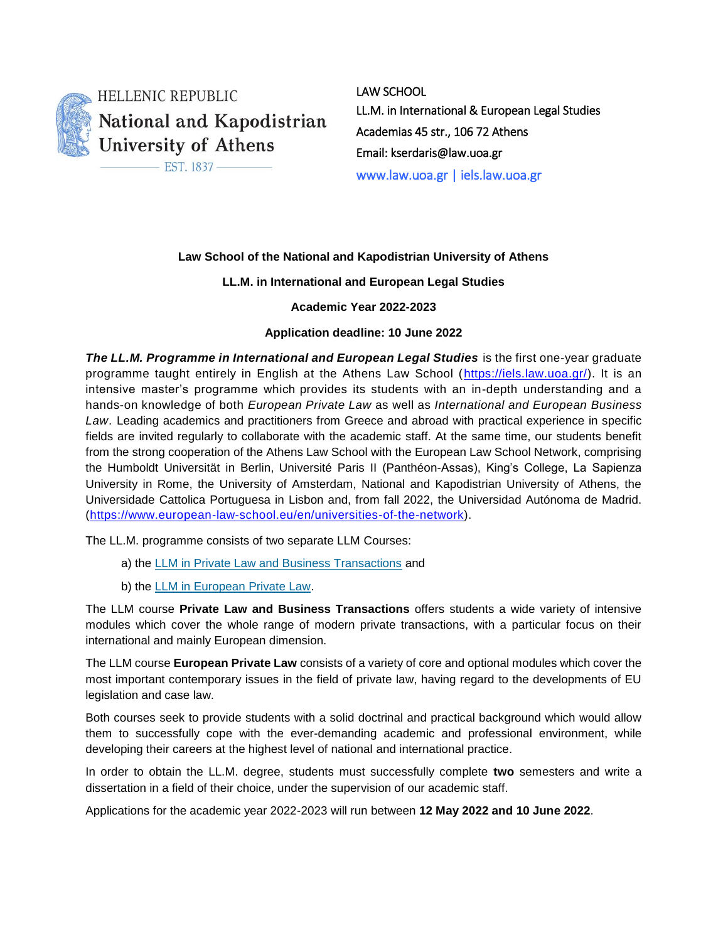

**HELLENIC REPUBLIC** National and Kapodistrian University of Athens

EST. 1837-

LAW SCHOOL LL.M. in International & European Legal Studies Academias 45 str., 106 72 Athens Email: kserdaris@law.uoa.gr www.law.uoa.gr | iels.law.uoa.gr

## **Law School of the National and Kapodistrian University of Athens**

## **LL.M. in International and European Legal Studies**

**Academic Year 2022-2023**

## **Application deadline: 10 June 2022**

*The LL.M. Programme in International and European Legal Studies* is the first one-year graduate programme taught entirely in English at the Athens Law School [\(https://iels.law.uoa.gr/\)](https://iels.law.uoa.gr/). It is an intensive master's programme which provides its students with an in-depth understanding and a hands-on knowledge of both *European Private Law* as well as *International and European Business Law*. Leading academics and practitioners from Greece and abroad with practical experience in specific fields are invited regularly to collaborate with the academic staff. At the same time, our students benefit from the strong cooperation of the Athens Law School with the European Law School Network, comprising the Humboldt Universität in Berlin, Université Paris II (Panthéon-Assas), King's College, La Sapienza University in Rome, the University of Amsterdam, National and Kapodistrian University of Athens, the Universidade Cattolica Portuguesa in Lisbon and, from fall 2022, the Universidad Autónoma de Madrid. [\(https://www.european-law-school.eu/en/universities-of-the-network\)](https://www.european-law-school.eu/en/universities-of-the-network).

The LL.M. programme consists of two separate LLM Courses:

- a) the [LLM in Private Law and Business Transactions](https://iels.law.uoa.gr/llm_courses/llm_course_private_law_and_business_transactions/) and
- b) the [LLM in European Private Law.](https://iels.law.uoa.gr/llm_courses/llm_course_european_private_law/)

The LLM course **Private Law and Business Transactions** offers students a wide variety of intensive modules which cover the whole range of modern private transactions, with a particular focus on their international and mainly European dimension.

The LLM course **European Private Law** consists of a variety of core and optional modules which cover the most important contemporary issues in the field of private law, having regard to the developments of EU legislation and case law.

Both courses seek to provide students with a solid doctrinal and practical background which would allow them to successfully cope with the ever-demanding academic and professional environment, while developing their careers at the highest level of national and international practice.

In order to obtain the LL.M. degree, students must successfully complete **two** semesters and write a dissertation in a field of their choice, under the supervision of our academic staff.

Applications for the academic year 2022-2023 will run between **12 May 2022 and 10 June 2022**.